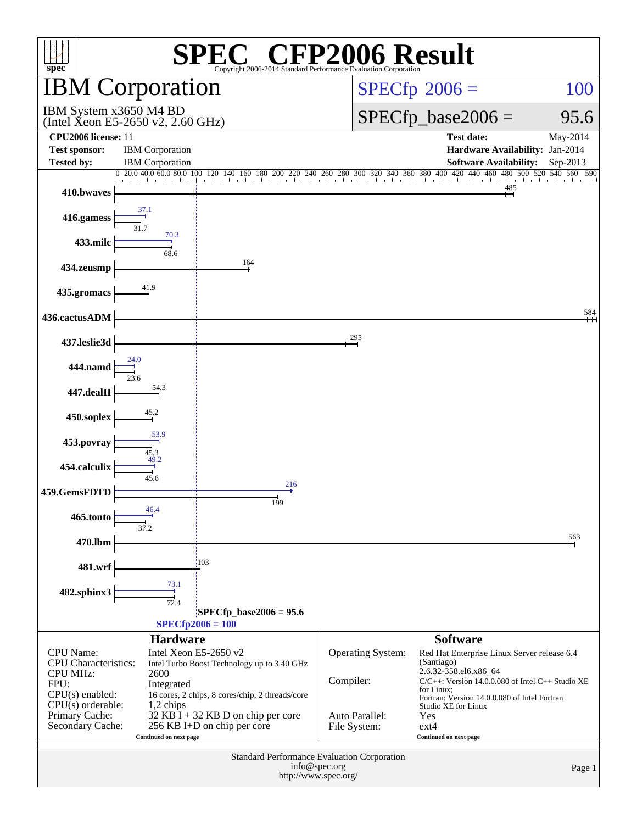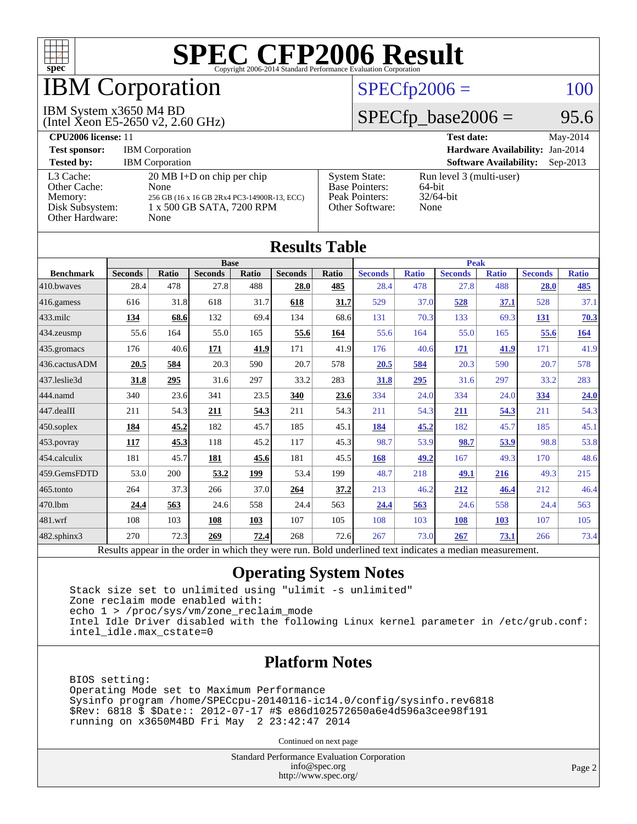

## IBM Corporation

### IBM System x3650 M4 BD

(Intel Xeon E5-2650 v2, 2.60 GHz)

### $SPECfp2006 = 100$  $SPECfp2006 = 100$

### $SPECfp\_base2006 = 95.6$

| <b>CPU2006 license: 11</b>                                                 |                                                                                                                                  |                                                                                    | <b>Test date:</b><br>May-2014                              |
|----------------------------------------------------------------------------|----------------------------------------------------------------------------------------------------------------------------------|------------------------------------------------------------------------------------|------------------------------------------------------------|
| <b>Test sponsor:</b>                                                       | <b>IBM</b> Corporation                                                                                                           | Hardware Availability: Jan-2014                                                    |                                                            |
| <b>Tested by:</b>                                                          | <b>IBM</b> Corporation                                                                                                           |                                                                                    | <b>Software Availability:</b><br>$Sep-2013$                |
| L3 Cache:<br>Other Cache:<br>Memory:<br>Disk Subsystem:<br>Other Hardware: | $20 \text{ MB I+D}$ on chip per chip<br>None<br>256 GB (16 x 16 GB 2Rx4 PC3-14900R-13, ECC)<br>1 x 500 GB SATA, 7200 RPM<br>None | <b>System State:</b><br><b>Base Pointers:</b><br>Peak Pointers:<br>Other Software: | Run level 3 (multi-user)<br>64-bit<br>$32/64$ -bit<br>None |

| <b>Results Table</b>   |                                                                                                          |              |                |       |                |       |                |              |                |              |                |              |
|------------------------|----------------------------------------------------------------------------------------------------------|--------------|----------------|-------|----------------|-------|----------------|--------------|----------------|--------------|----------------|--------------|
|                        | <b>Base</b>                                                                                              |              |                |       | <b>Peak</b>    |       |                |              |                |              |                |              |
| <b>Benchmark</b>       | <b>Seconds</b>                                                                                           | <b>Ratio</b> | <b>Seconds</b> | Ratio | <b>Seconds</b> | Ratio | <b>Seconds</b> | <b>Ratio</b> | <b>Seconds</b> | <b>Ratio</b> | <b>Seconds</b> | <b>Ratio</b> |
| 410.bwayes             | 28.4                                                                                                     | 478          | 27.8           | 488   | 28.0           | 485   | 28.4           | 478          | 27.8           | 488          | 28.0           | 485          |
| 416.gamess             | 616                                                                                                      | 31.8         | 618            | 31.7  | 618            | 31.7  | 529            | 37.0         | 528            | 37.1         | 528            | 37.1         |
| $433$ .milc            | 134                                                                                                      | 68.6         | 132            | 69.4  | 134            | 68.6  | 131            | 70.3         | 133            | 69.3         | 131            | 70.3         |
| $434$ . zeusmp         | 55.6                                                                                                     | 164          | 55.0           | 165   | 55.6           | 164   | 55.6           | 164          | 55.0           | 165          | 55.6           | <u>164</u>   |
| $435.$ gromacs         | 176                                                                                                      | 40.6         | 171            | 41.9  | 171            | 41.9  | 176            | 40.6         | 171            | 41.9         | 171            | 41.9         |
| 436.cactusADM          | 20.5                                                                                                     | 584          | 20.3           | 590   | 20.7           | 578   | 20.5           | 584          | 20.3           | 590          | 20.7           | 578          |
| 437.leslie3d           | 31.8                                                                                                     | 295          | 31.6           | 297   | 33.2           | 283   | 31.8           | 295          | 31.6           | 297          | 33.2           | 283          |
| 444.namd               | 340                                                                                                      | 23.6         | 341            | 23.5  | 340            | 23.6  | 334            | 24.0         | 334            | 24.0         | 334            | 24.0         |
| $ 447 \text{.}$ dealII | 211                                                                                                      | 54.3         | 211            | 54.3  | 211            | 54.3  | 211            | 54.3         | 211            | 54.3         | 211            | 54.3         |
| $450$ .soplex          | 184                                                                                                      | 45.2         | 182            | 45.7  | 185            | 45.1  | 184            | 45.2         | 182            | 45.7         | 185            | 45.1         |
| $453$ .povray          | 117                                                                                                      | 45.3         | 118            | 45.2  | 117            | 45.3  | 98.7           | 53.9         | 98.7           | 53.9         | 98.8           | 53.8         |
| $ 454$ .calculix       | 181                                                                                                      | 45.7         | 181            | 45.6  | 181            | 45.5  | 168            | 49.2         | 167            | 49.3         | 170            | 48.6         |
| 459.GemsFDTD           | 53.0                                                                                                     | 200          | 53.2           | 199   | 53.4           | 199   | 48.7           | 218          | 49.1           | 216          | 49.3           | 215          |
| $465$ .tonto           | 264                                                                                                      | 37.3         | 266            | 37.0  | 264            | 37.2  | 213            | 46.2         | 212            | 46.4         | 212            | 46.4         |
| 470.1bm                | 24.4                                                                                                     | 563          | 24.6           | 558   | 24.4           | 563   | 24.4           | 563          | 24.6           | 558          | 24.4           | 563          |
| 481.wrf                | 108                                                                                                      | 103          | 108            | 103   | 107            | 105   | 108            | 103          | 108            | 103          | 107            | 105          |
| $482$ .sphinx $3$      | 270                                                                                                      | 72.3         | 269            | 72.4  | 268            | 72.6  | 267            | 73.0         | 267            | 73.1         | 266            | 73.4         |
|                        | Results appear in the order in which they were run. Bold underlined text indicates a median measurement. |              |                |       |                |       |                |              |                |              |                |              |

### **[Operating System Notes](http://www.spec.org/auto/cpu2006/Docs/result-fields.html#OperatingSystemNotes)**

 Stack size set to unlimited using "ulimit -s unlimited" Zone reclaim mode enabled with: echo 1 > /proc/sys/vm/zone\_reclaim\_mode Intel Idle Driver disabled with the following Linux kernel parameter in /etc/grub.conf: intel\_idle.max\_cstate=0

### **[Platform Notes](http://www.spec.org/auto/cpu2006/Docs/result-fields.html#PlatformNotes)**

 BIOS setting: Operating Mode set to Maximum Performance Sysinfo program /home/SPECcpu-20140116-ic14.0/config/sysinfo.rev6818 \$Rev: 6818 \$ \$Date:: 2012-07-17 #\$ e86d102572650a6e4d596a3cee98f191 running on x3650M4BD Fri May 2 23:42:47 2014

Continued on next page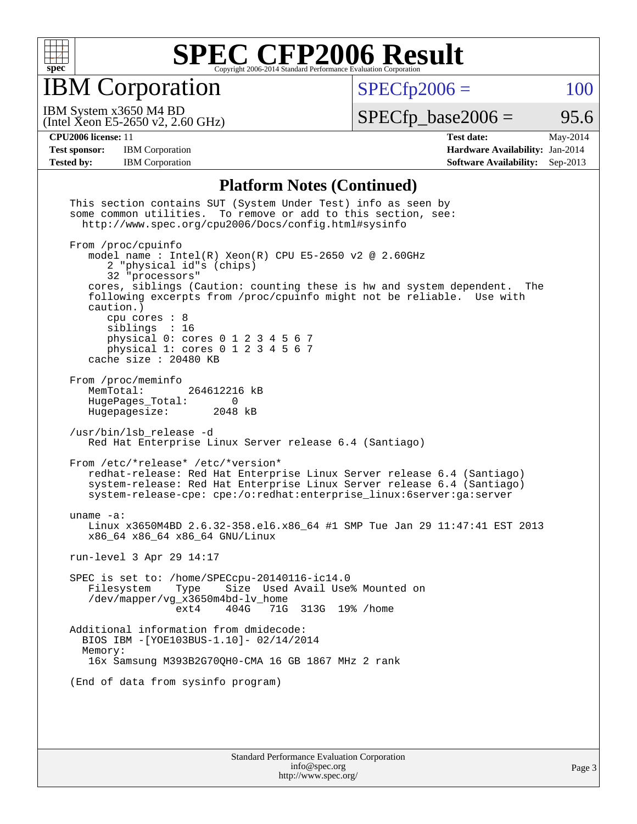

IBM Corporation

 $SPECfp2006 = 100$  $SPECfp2006 = 100$ 

(Intel Xeon E5-2650 v2, 2.60 GHz) IBM System x3650 M4 BD

 $SPECTp\_base2006 = 95.6$ 

**[Test sponsor:](http://www.spec.org/auto/cpu2006/Docs/result-fields.html#Testsponsor)** IBM Corporation **[Hardware Availability:](http://www.spec.org/auto/cpu2006/Docs/result-fields.html#HardwareAvailability)** Jan-2014

**[CPU2006 license:](http://www.spec.org/auto/cpu2006/Docs/result-fields.html#CPU2006license)** 11 **[Test date:](http://www.spec.org/auto/cpu2006/Docs/result-fields.html#Testdate)** May-2014 **[Tested by:](http://www.spec.org/auto/cpu2006/Docs/result-fields.html#Testedby)** IBM Corporation **[Software Availability:](http://www.spec.org/auto/cpu2006/Docs/result-fields.html#SoftwareAvailability)** Sep-2013

### **[Platform Notes \(Continued\)](http://www.spec.org/auto/cpu2006/Docs/result-fields.html#PlatformNotes)**

| This section contains SUT (System Under Test) info as seen by<br>some common utilities. To remove or add to this section, see:<br>http://www.spec.org/cpu2006/Docs/config.html#sysinfo                                                                                                                                                                                                                                                   |  |  |  |  |  |  |  |
|------------------------------------------------------------------------------------------------------------------------------------------------------------------------------------------------------------------------------------------------------------------------------------------------------------------------------------------------------------------------------------------------------------------------------------------|--|--|--|--|--|--|--|
| From /proc/cpuinfo<br>model name: $Intel(R)$ Xeon(R) CPU E5-2650 v2 @ 2.60GHz<br>2 "physical id"s (chips)<br>32 "processors"<br>cores, siblings (Caution: counting these is hw and system dependent.<br>The<br>following excerpts from /proc/cpuinfo might not be reliable. Use with<br>caution.)<br>cpu cores $: 8$<br>siblings : 16<br>physical 0: cores 0 1 2 3 4 5 6 7<br>physical 1: cores 0 1 2 3 4 5 6 7<br>cache size : 20480 KB |  |  |  |  |  |  |  |
| From /proc/meminfo<br>MemTotal:<br>264612216 kB<br>HugePages_Total:<br>$\Omega$<br>Hugepagesize: 2048 kB                                                                                                                                                                                                                                                                                                                                 |  |  |  |  |  |  |  |
| /usr/bin/lsb_release -d<br>Red Hat Enterprise Linux Server release 6.4 (Santiago)                                                                                                                                                                                                                                                                                                                                                        |  |  |  |  |  |  |  |
| From /etc/*release* /etc/*version*<br>redhat-release: Red Hat Enterprise Linux Server release 6.4 (Santiago)<br>system-release: Red Hat Enterprise Linux Server release 6.4 (Santiago)<br>system-release-cpe: cpe:/o:redhat:enterprise_linux:6server:ga:server                                                                                                                                                                           |  |  |  |  |  |  |  |
| uname $-a$ :<br>Linux x3650M4BD 2.6.32-358.el6.x86_64 #1 SMP Tue Jan 29 11:47:41 EST 2013<br>x86_64 x86_64 x86_64 GNU/Linux                                                                                                                                                                                                                                                                                                              |  |  |  |  |  |  |  |
| run-level 3 Apr 29 14:17                                                                                                                                                                                                                                                                                                                                                                                                                 |  |  |  |  |  |  |  |
| SPEC is set to: /home/SPECcpu-20140116-ic14.0<br>Size Used Avail Use% Mounted on<br>Filesystem<br>Type<br>/dev/mapper/vg_x3650m4bd-lv_home<br>404G 71G 313G 19% / home<br>ext4                                                                                                                                                                                                                                                           |  |  |  |  |  |  |  |
| Additional information from dmidecode:<br>BIOS IBM - [YOE103BUS-1.10]- 02/14/2014<br>Memory:<br>16x Samsung M393B2G70QH0-CMA 16 GB 1867 MHz 2 rank                                                                                                                                                                                                                                                                                       |  |  |  |  |  |  |  |
| (End of data from sysinfo program)                                                                                                                                                                                                                                                                                                                                                                                                       |  |  |  |  |  |  |  |
|                                                                                                                                                                                                                                                                                                                                                                                                                                          |  |  |  |  |  |  |  |
| Standard Darformange Evaluation Compration                                                                                                                                                                                                                                                                                                                                                                                               |  |  |  |  |  |  |  |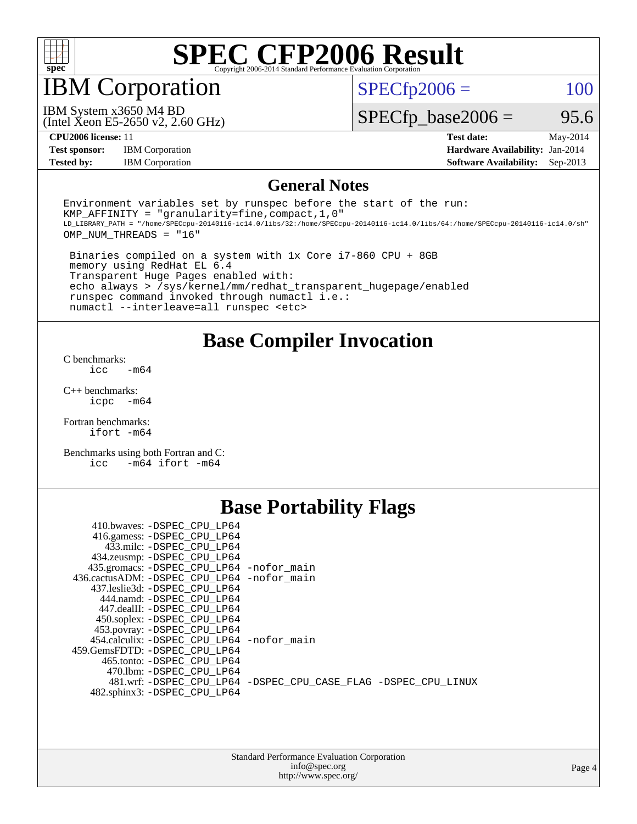

### IBM Corporation

 $SPECTp2006 = 100$ 

(Intel Xeon E5-2650 v2, 2.60 GHz) IBM System x3650 M4 BD

 $SPECfp\_base2006 = 95.6$ 

**[Test sponsor:](http://www.spec.org/auto/cpu2006/Docs/result-fields.html#Testsponsor)** IBM Corporation **[Hardware Availability:](http://www.spec.org/auto/cpu2006/Docs/result-fields.html#HardwareAvailability)** Jan-2014

**[CPU2006 license:](http://www.spec.org/auto/cpu2006/Docs/result-fields.html#CPU2006license)** 11 **[Test date:](http://www.spec.org/auto/cpu2006/Docs/result-fields.html#Testdate)** May-2014 **[Tested by:](http://www.spec.org/auto/cpu2006/Docs/result-fields.html#Testedby)** IBM Corporation **[Software Availability:](http://www.spec.org/auto/cpu2006/Docs/result-fields.html#SoftwareAvailability)** Sep-2013

### **[General Notes](http://www.spec.org/auto/cpu2006/Docs/result-fields.html#GeneralNotes)**

Environment variables set by runspec before the start of the run: KMP AFFINITY = "granularity=fine, compact,  $1,0$ " LD\_LIBRARY\_PATH = "/home/SPECcpu-20140116-ic14.0/libs/32:/home/SPECcpu-20140116-ic14.0/libs/64:/home/SPECcpu-20140116-ic14.0/sh" OMP\_NUM\_THREADS = "16"

 Binaries compiled on a system with 1x Core i7-860 CPU + 8GB memory using RedHat EL 6.4 Transparent Huge Pages enabled with: echo always > /sys/kernel/mm/redhat\_transparent\_hugepage/enabled runspec command invoked through numactl i.e.: numactl --interleave=all runspec <etc>

**[Base Compiler Invocation](http://www.spec.org/auto/cpu2006/Docs/result-fields.html#BaseCompilerInvocation)**

[C benchmarks](http://www.spec.org/auto/cpu2006/Docs/result-fields.html#Cbenchmarks):  $\text{icc}$   $-\text{m64}$ 

[C++ benchmarks:](http://www.spec.org/auto/cpu2006/Docs/result-fields.html#CXXbenchmarks) [icpc -m64](http://www.spec.org/cpu2006/results/res2014q3/cpu2006-20140611-29866.flags.html#user_CXXbase_intel_icpc_64bit_bedb90c1146cab66620883ef4f41a67e)

[Fortran benchmarks](http://www.spec.org/auto/cpu2006/Docs/result-fields.html#Fortranbenchmarks): [ifort -m64](http://www.spec.org/cpu2006/results/res2014q3/cpu2006-20140611-29866.flags.html#user_FCbase_intel_ifort_64bit_ee9d0fb25645d0210d97eb0527dcc06e)

[Benchmarks using both Fortran and C](http://www.spec.org/auto/cpu2006/Docs/result-fields.html#BenchmarksusingbothFortranandC): [icc -m64](http://www.spec.org/cpu2006/results/res2014q3/cpu2006-20140611-29866.flags.html#user_CC_FCbase_intel_icc_64bit_0b7121f5ab7cfabee23d88897260401c) [ifort -m64](http://www.spec.org/cpu2006/results/res2014q3/cpu2006-20140611-29866.flags.html#user_CC_FCbase_intel_ifort_64bit_ee9d0fb25645d0210d97eb0527dcc06e)

### **[Base Portability Flags](http://www.spec.org/auto/cpu2006/Docs/result-fields.html#BasePortabilityFlags)**

| 410.bwaves: -DSPEC CPU LP64                 |                                                                |
|---------------------------------------------|----------------------------------------------------------------|
| 416.gamess: -DSPEC_CPU_LP64                 |                                                                |
| 433.milc: -DSPEC CPU LP64                   |                                                                |
| 434.zeusmp: - DSPEC_CPU_LP64                |                                                                |
| 435.gromacs: -DSPEC_CPU_LP64 -nofor_main    |                                                                |
| 436.cactusADM: -DSPEC CPU LP64 -nofor main  |                                                                |
| 437.leslie3d: -DSPEC CPU LP64               |                                                                |
| 444.namd: -DSPEC CPU LP64                   |                                                                |
| 447.dealII: -DSPEC_CPU LP64                 |                                                                |
| 450.soplex: -DSPEC_CPU_LP64                 |                                                                |
| 453.povray: -DSPEC CPU LP64                 |                                                                |
| 454.calculix: - DSPEC CPU LP64 - nofor main |                                                                |
| 459. GemsFDTD: - DSPEC CPU LP64             |                                                                |
| 465.tonto: - DSPEC CPU LP64                 |                                                                |
| 470.1bm: - DSPEC CPU LP64                   |                                                                |
|                                             | 481.wrf: -DSPEC CPU_LP64 -DSPEC_CPU_CASE_FLAG -DSPEC_CPU_LINUX |
| 482.sphinx3: -DSPEC_CPU_LP64                |                                                                |
|                                             |                                                                |

| <b>Standard Performance Evaluation Corporation</b> |
|----------------------------------------------------|
| info@spec.org                                      |
| http://www.spec.org/                               |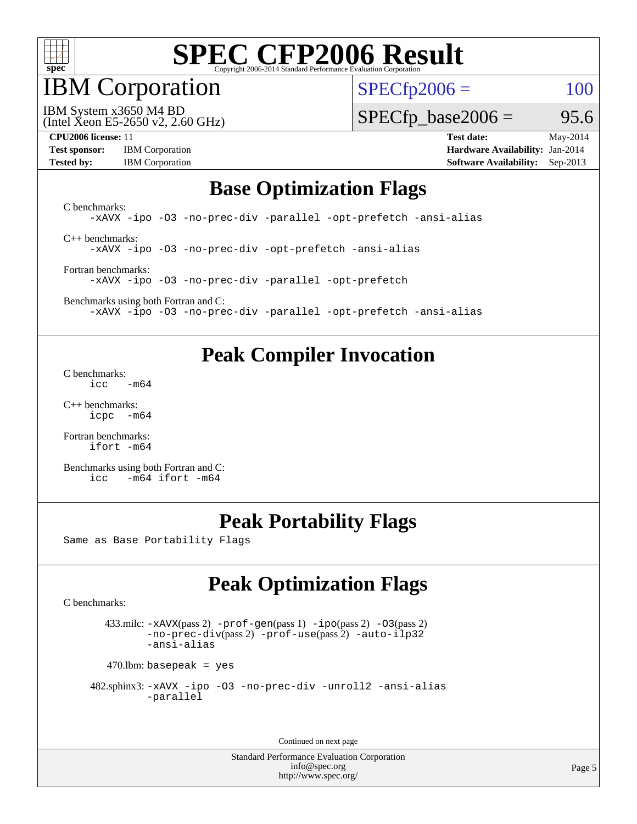

### IBM Corporation

 $SPECfp2006 = 100$  $SPECfp2006 = 100$ 

IBM System x3650 M4 BD

 $SPECTp\_base2006 = 95.6$ 

(Intel Xeon E5-2650 v2, 2.60 GHz)

| <b>Test sponsor:</b> | <b>IBM</b> Corporation |
|----------------------|------------------------|
| <b>Tested by:</b>    | <b>IBM</b> Corporation |

**[CPU2006 license:](http://www.spec.org/auto/cpu2006/Docs/result-fields.html#CPU2006license)** 11 **[Test date:](http://www.spec.org/auto/cpu2006/Docs/result-fields.html#Testdate)** May-2014 **[Hardware Availability:](http://www.spec.org/auto/cpu2006/Docs/result-fields.html#HardwareAvailability)** Jan-2014 **[Software Availability:](http://www.spec.org/auto/cpu2006/Docs/result-fields.html#SoftwareAvailability)** Sep-2013

### **[Base Optimization Flags](http://www.spec.org/auto/cpu2006/Docs/result-fields.html#BaseOptimizationFlags)**

[C benchmarks](http://www.spec.org/auto/cpu2006/Docs/result-fields.html#Cbenchmarks): [-xAVX](http://www.spec.org/cpu2006/results/res2014q3/cpu2006-20140611-29866.flags.html#user_CCbase_f-xAVX) [-ipo](http://www.spec.org/cpu2006/results/res2014q3/cpu2006-20140611-29866.flags.html#user_CCbase_f-ipo) [-O3](http://www.spec.org/cpu2006/results/res2014q3/cpu2006-20140611-29866.flags.html#user_CCbase_f-O3) [-no-prec-div](http://www.spec.org/cpu2006/results/res2014q3/cpu2006-20140611-29866.flags.html#user_CCbase_f-no-prec-div) [-parallel](http://www.spec.org/cpu2006/results/res2014q3/cpu2006-20140611-29866.flags.html#user_CCbase_f-parallel) [-opt-prefetch](http://www.spec.org/cpu2006/results/res2014q3/cpu2006-20140611-29866.flags.html#user_CCbase_f-opt-prefetch) [-ansi-alias](http://www.spec.org/cpu2006/results/res2014q3/cpu2006-20140611-29866.flags.html#user_CCbase_f-ansi-alias) [C++ benchmarks:](http://www.spec.org/auto/cpu2006/Docs/result-fields.html#CXXbenchmarks) [-xAVX](http://www.spec.org/cpu2006/results/res2014q3/cpu2006-20140611-29866.flags.html#user_CXXbase_f-xAVX) [-ipo](http://www.spec.org/cpu2006/results/res2014q3/cpu2006-20140611-29866.flags.html#user_CXXbase_f-ipo) [-O3](http://www.spec.org/cpu2006/results/res2014q3/cpu2006-20140611-29866.flags.html#user_CXXbase_f-O3) [-no-prec-div](http://www.spec.org/cpu2006/results/res2014q3/cpu2006-20140611-29866.flags.html#user_CXXbase_f-no-prec-div) [-opt-prefetch](http://www.spec.org/cpu2006/results/res2014q3/cpu2006-20140611-29866.flags.html#user_CXXbase_f-opt-prefetch) [-ansi-alias](http://www.spec.org/cpu2006/results/res2014q3/cpu2006-20140611-29866.flags.html#user_CXXbase_f-ansi-alias)

[Fortran benchmarks](http://www.spec.org/auto/cpu2006/Docs/result-fields.html#Fortranbenchmarks):

[-xAVX](http://www.spec.org/cpu2006/results/res2014q3/cpu2006-20140611-29866.flags.html#user_FCbase_f-xAVX) [-ipo](http://www.spec.org/cpu2006/results/res2014q3/cpu2006-20140611-29866.flags.html#user_FCbase_f-ipo) [-O3](http://www.spec.org/cpu2006/results/res2014q3/cpu2006-20140611-29866.flags.html#user_FCbase_f-O3) [-no-prec-div](http://www.spec.org/cpu2006/results/res2014q3/cpu2006-20140611-29866.flags.html#user_FCbase_f-no-prec-div) [-parallel](http://www.spec.org/cpu2006/results/res2014q3/cpu2006-20140611-29866.flags.html#user_FCbase_f-parallel) [-opt-prefetch](http://www.spec.org/cpu2006/results/res2014q3/cpu2006-20140611-29866.flags.html#user_FCbase_f-opt-prefetch)

[Benchmarks using both Fortran and C](http://www.spec.org/auto/cpu2006/Docs/result-fields.html#BenchmarksusingbothFortranandC): [-xAVX](http://www.spec.org/cpu2006/results/res2014q3/cpu2006-20140611-29866.flags.html#user_CC_FCbase_f-xAVX) [-ipo](http://www.spec.org/cpu2006/results/res2014q3/cpu2006-20140611-29866.flags.html#user_CC_FCbase_f-ipo) [-O3](http://www.spec.org/cpu2006/results/res2014q3/cpu2006-20140611-29866.flags.html#user_CC_FCbase_f-O3) [-no-prec-div](http://www.spec.org/cpu2006/results/res2014q3/cpu2006-20140611-29866.flags.html#user_CC_FCbase_f-no-prec-div) [-parallel](http://www.spec.org/cpu2006/results/res2014q3/cpu2006-20140611-29866.flags.html#user_CC_FCbase_f-parallel) [-opt-prefetch](http://www.spec.org/cpu2006/results/res2014q3/cpu2006-20140611-29866.flags.html#user_CC_FCbase_f-opt-prefetch) [-ansi-alias](http://www.spec.org/cpu2006/results/res2014q3/cpu2006-20140611-29866.flags.html#user_CC_FCbase_f-ansi-alias)

### **[Peak Compiler Invocation](http://www.spec.org/auto/cpu2006/Docs/result-fields.html#PeakCompilerInvocation)**

[C benchmarks](http://www.spec.org/auto/cpu2006/Docs/result-fields.html#Cbenchmarks):  $\text{icc}$   $-\text{m64}$ 

[C++ benchmarks:](http://www.spec.org/auto/cpu2006/Docs/result-fields.html#CXXbenchmarks) [icpc -m64](http://www.spec.org/cpu2006/results/res2014q3/cpu2006-20140611-29866.flags.html#user_CXXpeak_intel_icpc_64bit_bedb90c1146cab66620883ef4f41a67e)

[Fortran benchmarks](http://www.spec.org/auto/cpu2006/Docs/result-fields.html#Fortranbenchmarks): [ifort -m64](http://www.spec.org/cpu2006/results/res2014q3/cpu2006-20140611-29866.flags.html#user_FCpeak_intel_ifort_64bit_ee9d0fb25645d0210d97eb0527dcc06e)

[Benchmarks using both Fortran and C](http://www.spec.org/auto/cpu2006/Docs/result-fields.html#BenchmarksusingbothFortranandC): [icc -m64](http://www.spec.org/cpu2006/results/res2014q3/cpu2006-20140611-29866.flags.html#user_CC_FCpeak_intel_icc_64bit_0b7121f5ab7cfabee23d88897260401c) [ifort -m64](http://www.spec.org/cpu2006/results/res2014q3/cpu2006-20140611-29866.flags.html#user_CC_FCpeak_intel_ifort_64bit_ee9d0fb25645d0210d97eb0527dcc06e)

### **[Peak Portability Flags](http://www.spec.org/auto/cpu2006/Docs/result-fields.html#PeakPortabilityFlags)**

Same as Base Portability Flags

### **[Peak Optimization Flags](http://www.spec.org/auto/cpu2006/Docs/result-fields.html#PeakOptimizationFlags)**

[C benchmarks](http://www.spec.org/auto/cpu2006/Docs/result-fields.html#Cbenchmarks):

 433.milc: [-xAVX](http://www.spec.org/cpu2006/results/res2014q3/cpu2006-20140611-29866.flags.html#user_peakPASS2_CFLAGSPASS2_LDFLAGS433_milc_f-xAVX)(pass 2) [-prof-gen](http://www.spec.org/cpu2006/results/res2014q3/cpu2006-20140611-29866.flags.html#user_peakPASS1_CFLAGSPASS1_LDFLAGS433_milc_prof_gen_e43856698f6ca7b7e442dfd80e94a8fc)(pass 1) [-ipo](http://www.spec.org/cpu2006/results/res2014q3/cpu2006-20140611-29866.flags.html#user_peakPASS2_CFLAGSPASS2_LDFLAGS433_milc_f-ipo)(pass 2) [-O3](http://www.spec.org/cpu2006/results/res2014q3/cpu2006-20140611-29866.flags.html#user_peakPASS2_CFLAGSPASS2_LDFLAGS433_milc_f-O3)(pass 2) [-no-prec-div](http://www.spec.org/cpu2006/results/res2014q3/cpu2006-20140611-29866.flags.html#user_peakPASS2_CFLAGSPASS2_LDFLAGS433_milc_f-no-prec-div)(pass 2) [-prof-use](http://www.spec.org/cpu2006/results/res2014q3/cpu2006-20140611-29866.flags.html#user_peakPASS2_CFLAGSPASS2_LDFLAGS433_milc_prof_use_bccf7792157ff70d64e32fe3e1250b55)(pass 2) [-auto-ilp32](http://www.spec.org/cpu2006/results/res2014q3/cpu2006-20140611-29866.flags.html#user_peakCOPTIMIZE433_milc_f-auto-ilp32) [-ansi-alias](http://www.spec.org/cpu2006/results/res2014q3/cpu2006-20140611-29866.flags.html#user_peakCOPTIMIZE433_milc_f-ansi-alias)

 $470$ .lbm: basepeak = yes

```
 482.sphinx3: -xAVX -ipo -O3 -no-prec-div -unroll2 -ansi-alias
         -parallel
```
Continued on next page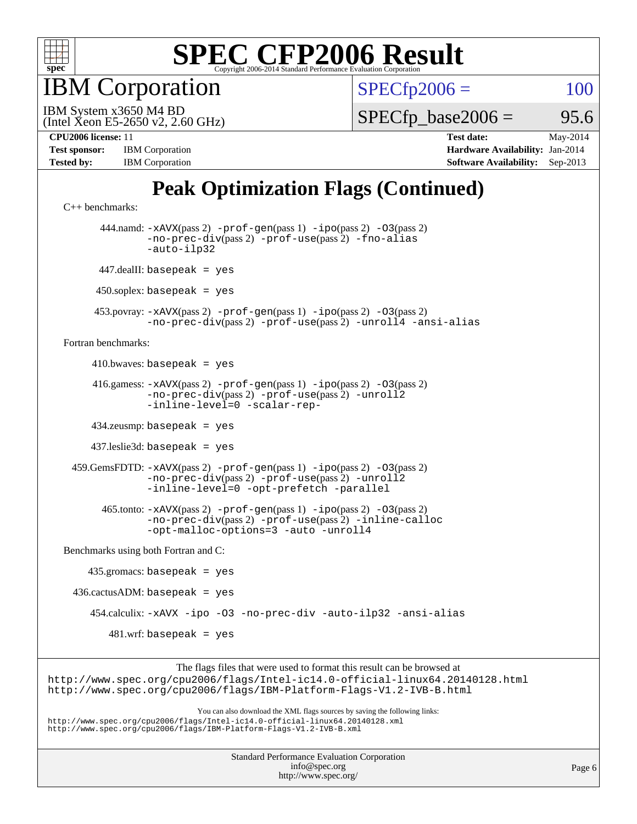

**BM** Corporation

 $SPECfp2006 = 100$  $SPECfp2006 = 100$ 

(Intel Xeon E5-2650 v2, 2.60 GHz) IBM System x3650 M4 BD

 $SPECTp\_base2006 =$  95.6

| <b>Test sponsor:</b> | <b>IBM</b> Corporation |
|----------------------|------------------------|
| <b>Tested by:</b>    | <b>IBM</b> Corporation |

**[CPU2006 license:](http://www.spec.org/auto/cpu2006/Docs/result-fields.html#CPU2006license)** 11 **[Test date:](http://www.spec.org/auto/cpu2006/Docs/result-fields.html#Testdate)** May-2014 **[Hardware Availability:](http://www.spec.org/auto/cpu2006/Docs/result-fields.html#HardwareAvailability)** Jan-2014 **[Software Availability:](http://www.spec.org/auto/cpu2006/Docs/result-fields.html#SoftwareAvailability)** Sep-2013

### **[Peak Optimization Flags \(Continued\)](http://www.spec.org/auto/cpu2006/Docs/result-fields.html#PeakOptimizationFlags)**

```
C++ benchmarks: 
        444.namd: -xAVX(pass 2) -prof-gen(pass 1) -ipo(pass 2) -O3(pass 2)
                -no-prec-div(pass 2) -prof-use(pass 2) -fno-alias
                -auto-ilp32
       447.dealII: basepeak = yes
      450.soplex: basepeak = yes
      453.povray: -xAVX(pass 2) -prof-gen(pass 1) -ipo(pass 2) -O3(pass 2)
                -no-prec-div(pass 2) -prof-use(pass 2) -unroll4 -ansi-alias
Fortran benchmarks: 
     410.bwaves: basepeak = yes 416.gamess: -xAVX(pass 2) -prof-gen(pass 1) -ipo(pass 2) -O3(pass 2)
                -no-prec-div(pass 2) -prof-use(pass 2) -unroll2
                -inline-level=0 -scalar-rep-
      434.zeusmp: basepeak = yes
      437.leslie3d: basepeak = yes
  459.GemsFDTD: -xAVX(pass 2) -prof-gen(pass 1) -ipo(pass 2) -O3(pass 2)
                -no-prec-div(pass 2) -prof-use(pass 2) -unroll2
                -inline-level=0 -opt-prefetch -parallel
        465.tonto: -xAVX(pass 2) -prof-gen(pass 1) -ipo(pass 2) -O3(pass 2)
                -no-prec-div(pass 2) -prof-use(pass 2) -inline-calloc
                -opt-malloc-options=3 -auto -unroll4
Benchmarks using both Fortran and C: 
     435.gromacs: basepeak = yes
 436.cactusADM: basepeak = yes 454.calculix: -xAVX -ipo -O3 -no-prec-div -auto-ilp32 -ansi-alias
        481.wrf: basepeak = yes
                     The flags files that were used to format this result can be browsed at
```
<http://www.spec.org/cpu2006/flags/Intel-ic14.0-official-linux64.20140128.html> <http://www.spec.org/cpu2006/flags/IBM-Platform-Flags-V1.2-IVB-B.html>

You can also download the XML flags sources by saving the following links: <http://www.spec.org/cpu2006/flags/Intel-ic14.0-official-linux64.20140128.xml> <http://www.spec.org/cpu2006/flags/IBM-Platform-Flags-V1.2-IVB-B.xml>